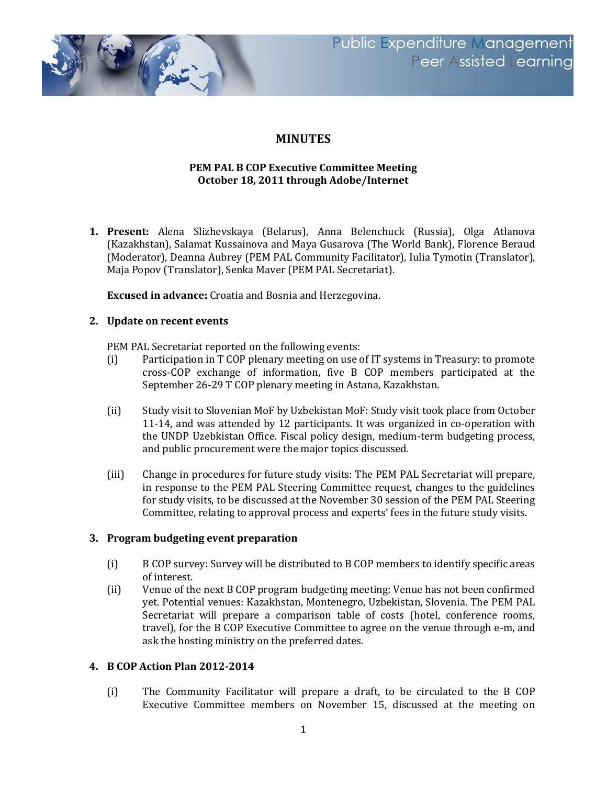

# **MINUTES**

## **PEM PAL B COP Executive Committee Meeting October 18, 2011 through Adobe/Internet**

**1. Present:** Alena Slizhevskaya (Belarus), Anna Belenchuck (Russia), Olga Atlanova (Kazakhstan), Salamat Kussainova and Maya Gusarova (The World Bank), Florence Beraud (Moderator), Deanna Aubrey (PEM PAL Community Facilitator), Iulia Tymotin (Translator), Maja Popov (Translator), Senka Maver (PEM PAL Secretariat).

**Excused in advance:** Croatia and Bosnia and Herzegovina.

## **2. Update on recent events**

PEM PAL Secretariat reported on the following events:

- (i) Participation in T COP plenary meeting on use of IT systems in Treasury: to promote cross-COP exchange of information, five B COP members participated at the September 26-29 T COP plenary meeting in Astana, Kazakhstan.
- (ii) Study visit to Slovenian MoF by Uzbekistan MoF: Study visit took place from October 11-14, and was attended by 12 participants. It was organized in co-operation with the UNDP Uzebkistan Office. Fiscal policy design, medium-term budgeting process, and public procurement were the major topics discussed.
- (iii) Change in procedures for future study visits: The PEM PAL Secretariat will prepare, in response to the PEM PAL Steering Committee request, changes to the guidelines for study visits, to be discussed at the November 30 session of the PEM PAL Steering Committee, relating to approval process and experts' fees in the future study visits.

#### **3. Program budgeting event preparation**

- (i) B COP survey: Survey will be distributed to B COP members to identify specific areas of interest.
- (ii) Venue of the next B COP program budgeting meeting: Venue has not been confirmed yet. Potential venues: Kazakhstan, Montenegro, Uzbekistan, Slovenia. The PEM PAL Secretariat will prepare a comparison table of costs (hotel, conference rooms, travel), for the B COP Executive Committee to agree on the venue through e-m, and ask the hosting ministry on the preferred dates.

#### **4. B COP Action Plan 2012-2014**

(i) The Community Facilitator will prepare a draft, to be circulated to the B COP Executive Committee members on November 15, discussed at the meeting on